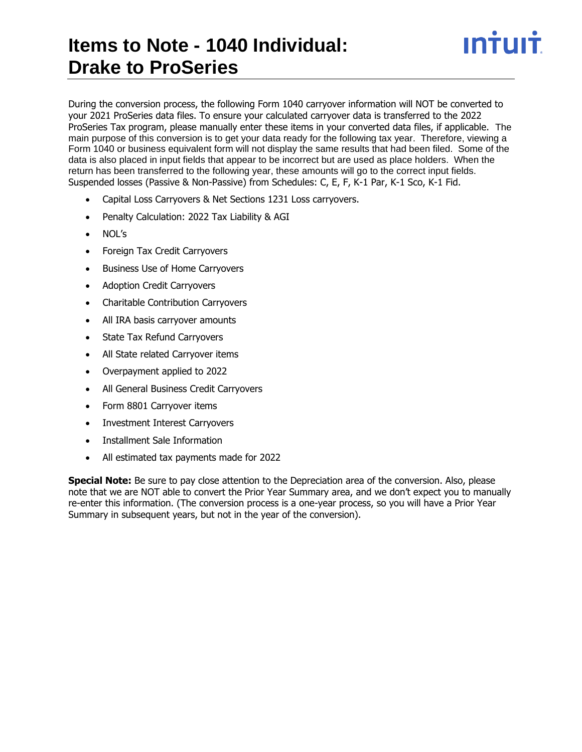# **Items to Note - 1040 Individual: Drake to ProSeries**

During the conversion process, the following Form 1040 carryover information will NOT be converted to your 2021 ProSeries data files. To ensure your calculated carryover data is transferred to the 2022 ProSeries Tax program, please manually enter these items in your converted data files, if applicable. The main purpose of this conversion is to get your data ready for the following tax year. Therefore, viewing a Form 1040 or business equivalent form will not display the same results that had been filed. Some of the data is also placed in input fields that appear to be incorrect but are used as place holders. When the return has been transferred to the following year, these amounts will go to the correct input fields. Suspended losses (Passive & Non-Passive) from Schedules: C, E, F, K-1 Par, K-1 Sco, K-1 Fid.

ın†ılı†

- Capital Loss Carryovers & Net Sections 1231 Loss carryovers.
- Penalty Calculation: 2022 Tax Liability & AGI
- NOL's
- Foreign Tax Credit Carryovers
- Business Use of Home Carryovers
- Adoption Credit Carryovers
- Charitable Contribution Carryovers
- All IRA basis carryover amounts
- State Tax Refund Carryovers
- All State related Carryover items
- Overpayment applied to 2022
- All General Business Credit Carryovers
- Form 8801 Carryover items
- Investment Interest Carryovers
- Installment Sale Information
- All estimated tax payments made for 2022

**Special Note:** Be sure to pay close attention to the Depreciation area of the conversion. Also, please note that we are NOT able to convert the Prior Year Summary area, and we don't expect you to manually re-enter this information. (The conversion process is a one-year process, so you will have a Prior Year Summary in subsequent years, but not in the year of the conversion).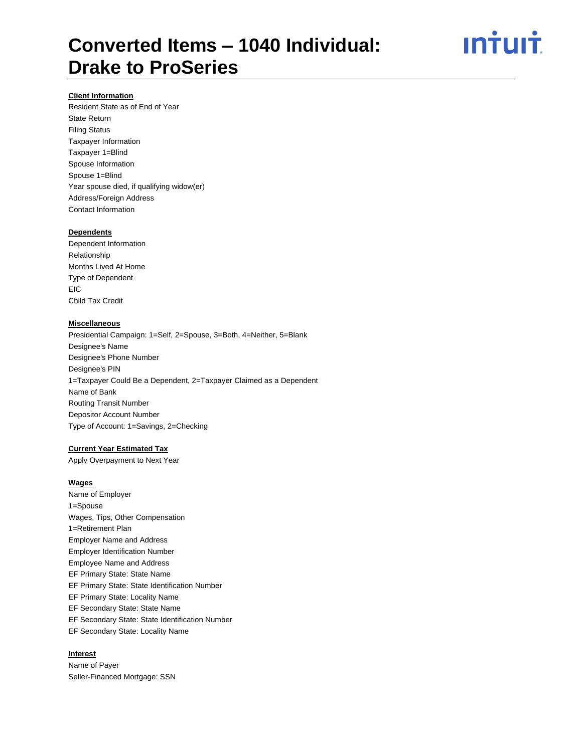# <u>ıntuıt</u>

#### **Client Information**

Resident State as of End of Year State Return Filing Status Taxpayer Information Taxpayer 1=Blind Spouse Information Spouse 1=Blind Year spouse died, if qualifying widow(er) Address/Foreign Address Contact Information

#### **Dependents**

Dependent Information Relationship Months Lived At Home Type of Dependent **EIC** Child Tax Credit

### **Miscellaneous**

Presidential Campaign: 1=Self, 2=Spouse, 3=Both, 4=Neither, 5=Blank Designee's Name Designee's Phone Number Designee's PIN 1=Taxpayer Could Be a Dependent, 2=Taxpayer Claimed as a Dependent Name of Bank Routing Transit Number Depositor Account Number Type of Account: 1=Savings, 2=Checking

### **Current Year Estimated Tax**

Apply Overpayment to Next Year

#### **Wages**

Name of Employer 1=Spouse Wages, Tips, Other Compensation 1=Retirement Plan Employer Name and Address Employer Identification Number Employee Name and Address EF Primary State: State Name EF Primary State: State Identification Number EF Primary State: Locality Name EF Secondary State: State Name EF Secondary State: State Identification Number EF Secondary State: Locality Name

#### **Interest**

Name of Payer Seller-Financed Mortgage: SSN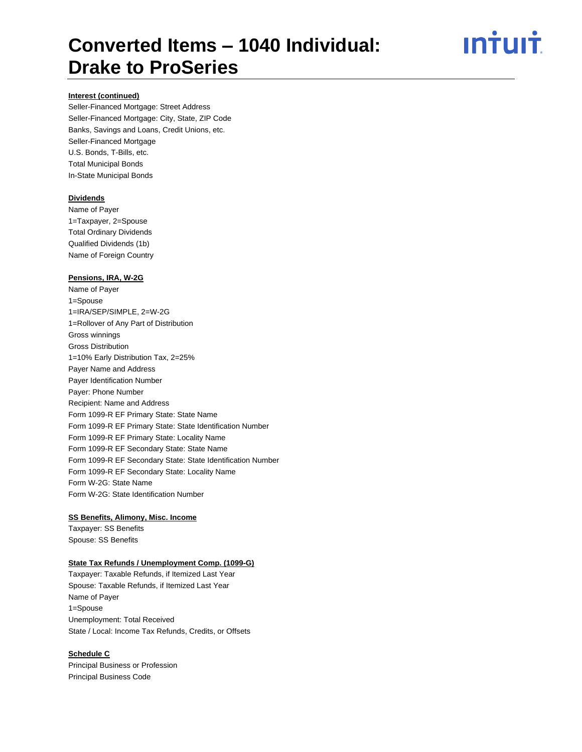# <u>ıntuıt</u>

### **Interest (continued)**

Seller-Financed Mortgage: Street Address Seller-Financed Mortgage: City, State, ZIP Code Banks, Savings and Loans, Credit Unions, etc. Seller-Financed Mortgage U.S. Bonds, T-Bills, etc. Total Municipal Bonds In-State Municipal Bonds

#### **Dividends**

Name of Payer 1=Taxpayer, 2=Spouse Total Ordinary Dividends Qualified Dividends (1b) Name of Foreign Country

#### **Pensions, IRA, W-2G**

Name of Payer 1=Spouse 1=IRA/SEP/SIMPLE, 2=W-2G 1=Rollover of Any Part of Distribution Gross winnings Gross Distribution 1=10% Early Distribution Tax, 2=25% Payer Name and Address Payer Identification Number Payer: Phone Number Recipient: Name and Address Form 1099-R EF Primary State: State Name Form 1099-R EF Primary State: State Identification Number Form 1099-R EF Primary State: Locality Name Form 1099-R EF Secondary State: State Name Form 1099-R EF Secondary State: State Identification Number Form 1099-R EF Secondary State: Locality Name Form W-2G: State Name Form W-2G: State Identification Number

### **SS Benefits, Alimony, Misc. Income**

Taxpayer: SS Benefits Spouse: SS Benefits

### **State Tax Refunds / Unemployment Comp. (1099-G)**

Taxpayer: Taxable Refunds, if Itemized Last Year Spouse: Taxable Refunds, if Itemized Last Year Name of Payer 1=Spouse Unemployment: Total Received State / Local: Income Tax Refunds, Credits, or Offsets

#### **Schedule C**

Principal Business or Profession Principal Business Code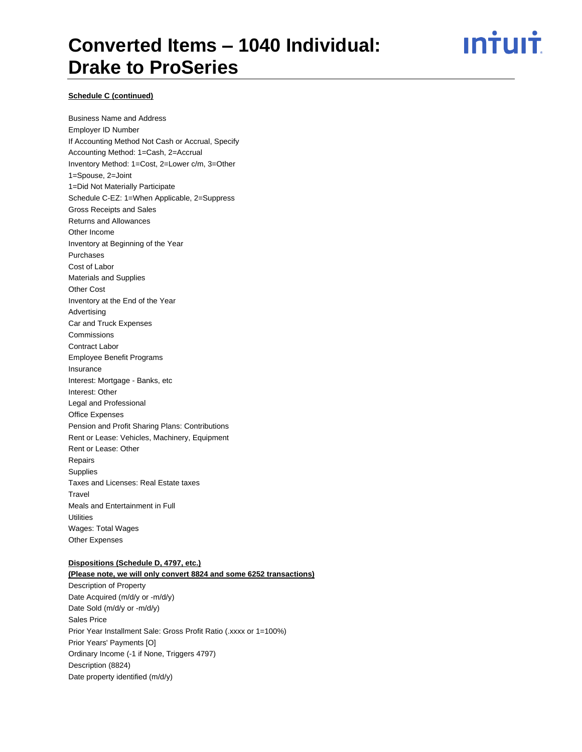<u>ıntuıt</u>

#### **Schedule C (continued)**

Business Name and Address

Employer ID Number If Accounting Method Not Cash or Accrual, Specify Accounting Method: 1=Cash, 2=Accrual Inventory Method: 1=Cost, 2=Lower c/m, 3=Other 1=Spouse, 2=Joint 1=Did Not Materially Participate Schedule C-EZ: 1=When Applicable, 2=Suppress Gross Receipts and Sales Returns and Allowances Other Income Inventory at Beginning of the Year Purchases Cost of Labor Materials and Supplies Other Cost Inventory at the End of the Year Advertising Car and Truck Expenses Commissions Contract Labor Employee Benefit Programs Insurance Interest: Mortgage - Banks, etc Interest: Other Legal and Professional Office Expenses Pension and Profit Sharing Plans: Contributions Rent or Lease: Vehicles, Machinery, Equipment Rent or Lease: Other Repairs **Supplies** Taxes and Licenses: Real Estate taxes **Travel** Meals and Entertainment in Full **Utilities** Wages: Total Wages Other Expenses

#### **Dispositions (Schedule D, 4797, etc.)**

**(Please note, we will only convert 8824 and some 6252 transactions)** Description of Property Date Acquired (m/d/y or -m/d/y) Date Sold (m/d/y or -m/d/y) Sales Price Prior Year Installment Sale: Gross Profit Ratio (.xxxx or 1=100%) Prior Years' Payments [O] Ordinary Income (-1 if None, Triggers 4797) Description (8824) Date property identified (m/d/y)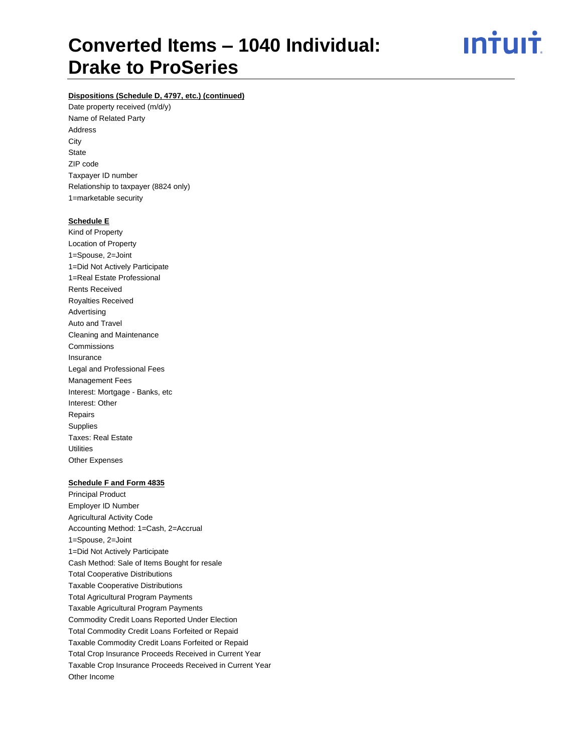<u>**Intuit**</u>

### **Dispositions (Schedule D, 4797, etc.) (continued)**

Date property received (m/d/y) Name of Related Party Address **City State** ZIP code Taxpayer ID number Relationship to taxpayer (8824 only) 1=marketable security

#### **Schedule E**

Kind of Property Location of Property 1=Spouse, 2=Joint 1=Did Not Actively Participate 1=Real Estate Professional Rents Received Royalties Received Advertising Auto and Travel Cleaning and Maintenance Commissions Insurance Legal and Professional Fees Management Fees Interest: Mortgage - Banks, etc Interest: Other Repairs **Supplies** Taxes: Real Estate **Utilities** Other Expenses

#### **Schedule F and Form 4835**

Principal Product Employer ID Number Agricultural Activity Code Accounting Method: 1=Cash, 2=Accrual 1=Spouse, 2=Joint 1=Did Not Actively Participate Cash Method: Sale of Items Bought for resale Total Cooperative Distributions Taxable Cooperative Distributions Total Agricultural Program Payments Taxable Agricultural Program Payments Commodity Credit Loans Reported Under Election Total Commodity Credit Loans Forfeited or Repaid Taxable Commodity Credit Loans Forfeited or Repaid Total Crop Insurance Proceeds Received in Current Year Taxable Crop Insurance Proceeds Received in Current Year Other Income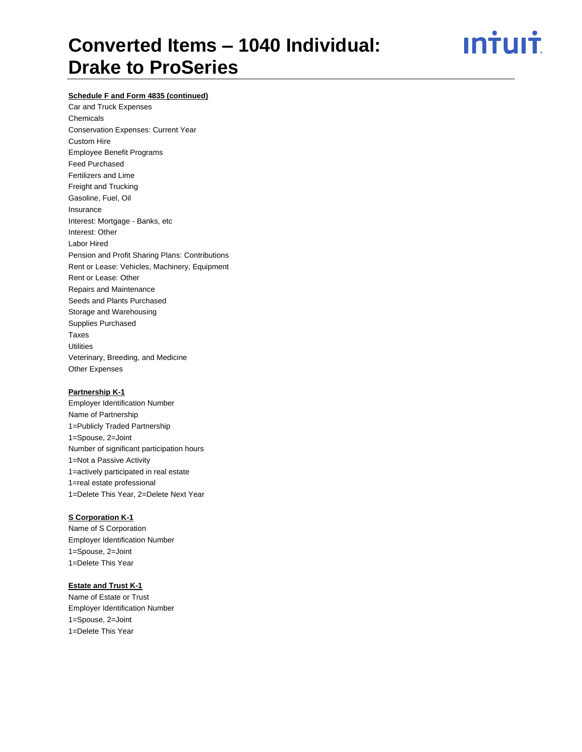<u>**Intuit**</u>

### **Schedule F and Form 4835 (continued)**

Car and Truck Expenses Chemicals Conservation Expenses: Current Year Custom Hire Employee Benefit Programs Feed Purchased Fertilizers and Lime Freight and Trucking Gasoline, Fuel, Oil Insurance Interest: Mortgage - Banks, etc Interest: Other Labor Hired Pension and Profit Sharing Plans: Contributions Rent or Lease: Vehicles, Machinery, Equipment Rent or Lease: Other Repairs and Maintenance Seeds and Plants Purchased Storage and Warehousing Supplies Purchased Taxes **Utilities** Veterinary, Breeding, and Medicine Other Expenses

#### **Partnership K-1**

Employer Identification Number Name of Partnership 1=Publicly Traded Partnership 1=Spouse, 2=Joint Number of significant participation hours 1=Not a Passive Activity 1=actively participated in real estate 1=real estate professional 1=Delete This Year, 2=Delete Next Year

### **S Corporation K-1**

Name of S Corporation Employer Identification Number 1=Spouse, 2=Joint 1=Delete This Year

#### **Estate and Trust K-1**

Name of Estate or Trust Employer Identification Number 1=Spouse, 2=Joint 1=Delete This Year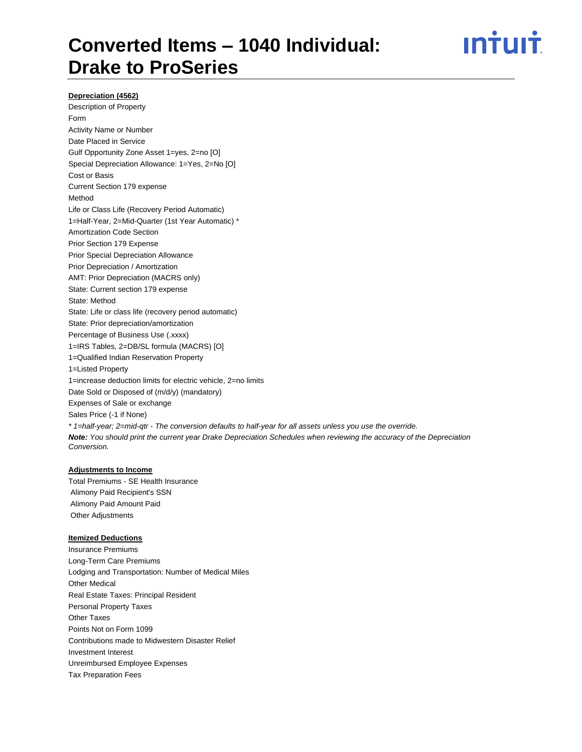# ın†ılı†

#### **Depreciation (4562)**

Description of Property Form Activity Name or Number Date Placed in Service Gulf Opportunity Zone Asset 1=yes, 2=no [O] Special Depreciation Allowance: 1=Yes, 2=No [O] Cost or Basis Current Section 179 expense Method Life or Class Life (Recovery Period Automatic) 1=Half-Year, 2=Mid-Quarter (1st Year Automatic) \* Amortization Code Section Prior Section 179 Expense Prior Special Depreciation Allowance Prior Depreciation / Amortization AMT: Prior Depreciation (MACRS only) State: Current section 179 expense State: Method State: Life or class life (recovery period automatic) State: Prior depreciation/amortization Percentage of Business Use (.xxxx) 1=IRS Tables, 2=DB/SL formula (MACRS) [O] 1=Qualified Indian Reservation Property 1=Listed Property 1=increase deduction limits for electric vehicle, 2=no limits Date Sold or Disposed of (m/d/y) (mandatory) Expenses of Sale or exchange Sales Price (-1 if None) *\* 1=half-year; 2=mid-qtr - The conversion defaults to half-year for all assets unless you use the override. Note: You should print the current year Drake Depreciation Schedules when reviewing the accuracy of the Depreciation Conversion.*

## **Adjustments to Income**

Total Premiums - SE Health Insurance Alimony Paid Recipient's SSN Alimony Paid Amount Paid Other Adjustments

#### **Itemized Deductions**

Insurance Premiums Long-Term Care Premiums Lodging and Transportation: Number of Medical Miles Other Medical Real Estate Taxes: Principal Resident Personal Property Taxes Other Taxes Points Not on Form 1099 Contributions made to Midwestern Disaster Relief Investment Interest Unreimbursed Employee Expenses Tax Preparation Fees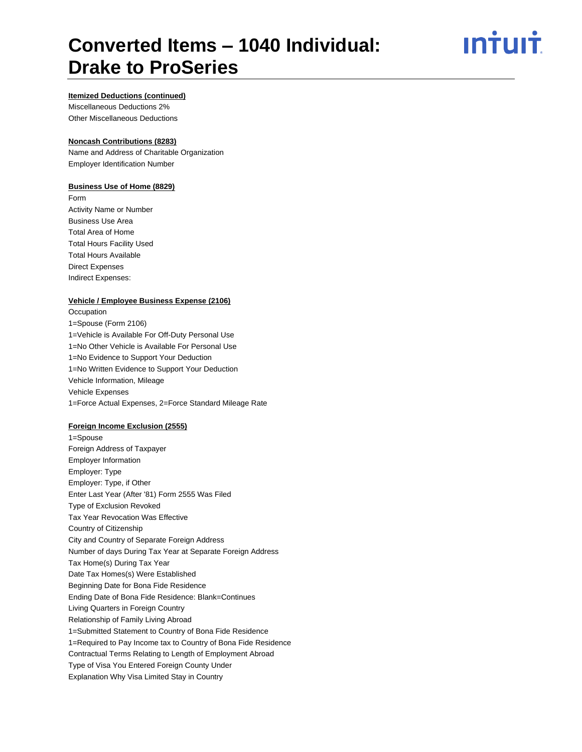# ın†uı†

#### **Itemized Deductions (continued)**

Miscellaneous Deductions 2% Other Miscellaneous Deductions

### **Noncash Contributions (8283)**

Name and Address of Charitable Organization Employer Identification Number

### **Business Use of Home (8829)**

Form Activity Name or Number Business Use Area Total Area of Home Total Hours Facility Used Total Hours Available Direct Expenses Indirect Expenses:

#### **Vehicle / Employee Business Expense (2106)**

**Occupation** 1=Spouse (Form 2106) 1=Vehicle is Available For Off-Duty Personal Use 1=No Other Vehicle is Available For Personal Use 1=No Evidence to Support Your Deduction 1=No Written Evidence to Support Your Deduction Vehicle Information, Mileage Vehicle Expenses 1=Force Actual Expenses, 2=Force Standard Mileage Rate

#### **Foreign Income Exclusion (2555)**

1=Spouse Foreign Address of Taxpayer Employer Information Employer: Type Employer: Type, if Other Enter Last Year (After '81) Form 2555 Was Filed Type of Exclusion Revoked Tax Year Revocation Was Effective Country of Citizenship City and Country of Separate Foreign Address Number of days During Tax Year at Separate Foreign Address Tax Home(s) During Tax Year Date Tax Homes(s) Were Established Beginning Date for Bona Fide Residence Ending Date of Bona Fide Residence: Blank=Continues Living Quarters in Foreign Country Relationship of Family Living Abroad 1=Submitted Statement to Country of Bona Fide Residence 1=Required to Pay Income tax to Country of Bona Fide Residence Contractual Terms Relating to Length of Employment Abroad Type of Visa You Entered Foreign County Under Explanation Why Visa Limited Stay in Country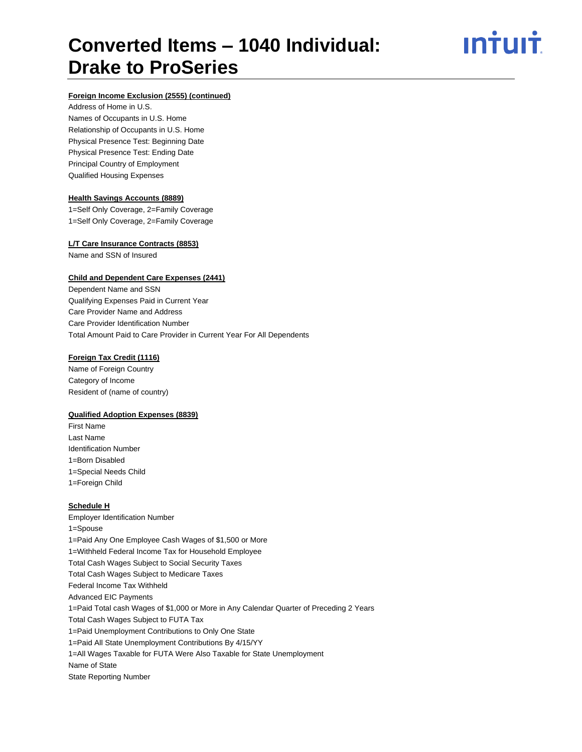<u>ıntuıt</u>

#### **Foreign Income Exclusion (2555) (continued)**

Address of Home in U.S. Names of Occupants in U.S. Home Relationship of Occupants in U.S. Home Physical Presence Test: Beginning Date Physical Presence Test: Ending Date Principal Country of Employment Qualified Housing Expenses

#### **Health Savings Accounts (8889)**

1=Self Only Coverage, 2=Family Coverage 1=Self Only Coverage, 2=Family Coverage

#### **L/T Care Insurance Contracts (8853)**

Name and SSN of Insured

#### **Child and Dependent Care Expenses (2441)**

Dependent Name and SSN Qualifying Expenses Paid in Current Year Care Provider Name and Address Care Provider Identification Number Total Amount Paid to Care Provider in Current Year For All Dependents

#### **Foreign Tax Credit (1116)**

Name of Foreign Country Category of Income Resident of (name of country)

#### **Qualified Adoption Expenses (8839)**

First Name Last Name Identification Number 1=Born Disabled 1=Special Needs Child 1=Foreign Child

#### **Schedule H**

Employer Identification Number 1=Spouse 1=Paid Any One Employee Cash Wages of \$1,500 or More 1=Withheld Federal Income Tax for Household Employee Total Cash Wages Subject to Social Security Taxes Total Cash Wages Subject to Medicare Taxes Federal Income Tax Withheld Advanced EIC Payments 1=Paid Total cash Wages of \$1,000 or More in Any Calendar Quarter of Preceding 2 Years Total Cash Wages Subject to FUTA Tax 1=Paid Unemployment Contributions to Only One State 1=Paid All State Unemployment Contributions By 4/15/YY 1=All Wages Taxable for FUTA Were Also Taxable for State Unemployment Name of State State Reporting Number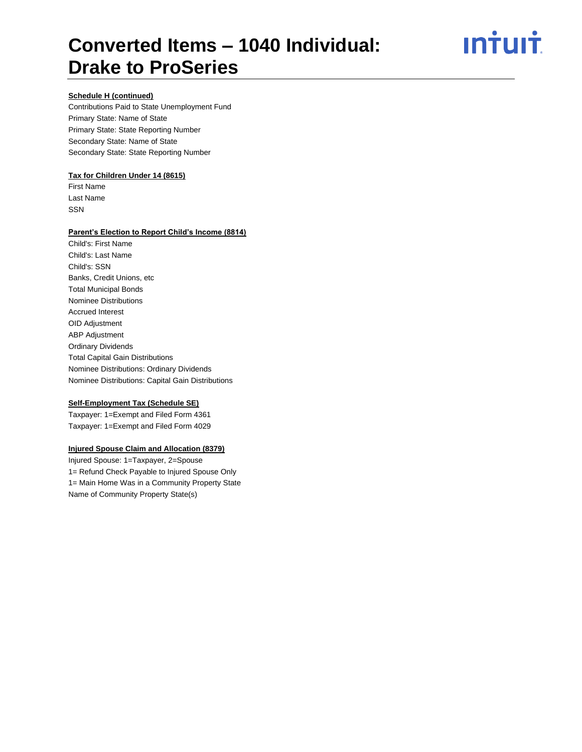<u>**Intuit**</u>

### **Schedule H (continued)**

Contributions Paid to State Unemployment Fund Primary State: Name of State Primary State: State Reporting Number Secondary State: Name of State Secondary State: State Reporting Number

#### **Tax for Children Under 14 (8615)**

First Name Last Name SSN

#### **Parent's Election to Report Child's Income (8814)**

Child's: First Name Child's: Last Name Child's: SSN Banks, Credit Unions, etc Total Municipal Bonds Nominee Distributions Accrued Interest OID Adjustment ABP Adjustment Ordinary Dividends Total Capital Gain Distributions Nominee Distributions: Ordinary Dividends Nominee Distributions: Capital Gain Distributions

#### **Self-Employment Tax (Schedule SE)**

Taxpayer: 1=Exempt and Filed Form 4361 Taxpayer: 1=Exempt and Filed Form 4029

### **Injured Spouse Claim and Allocation (8379)**

Injured Spouse: 1=Taxpayer, 2=Spouse 1= Refund Check Payable to Injured Spouse Only 1= Main Home Was in a Community Property State Name of Community Property State(s)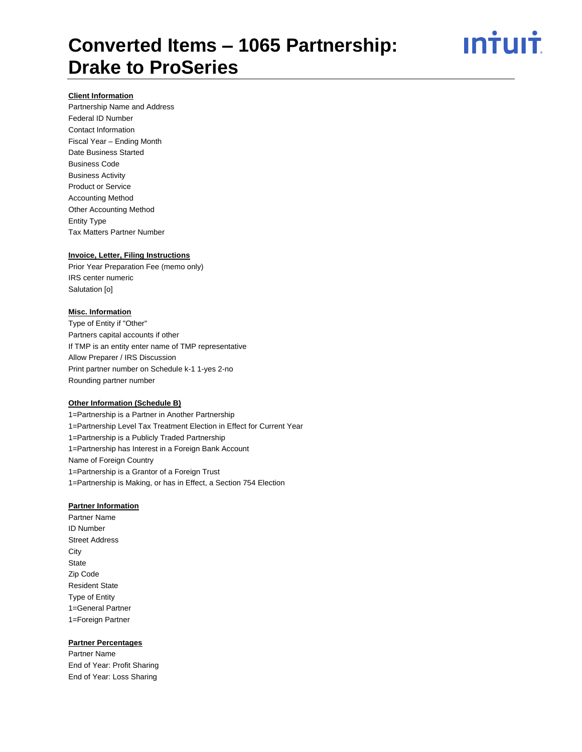ın<del>i</del>uı<del>i</del>

### **Client Information**

Partnership Name and Address Federal ID Number Contact Information Fiscal Year – Ending Month Date Business Started Business Code Business Activity Product or Service Accounting Method Other Accounting Method Entity Type Tax Matters Partner Number

#### **Invoice, Letter, Filing Instructions**

Prior Year Preparation Fee (memo only) IRS center numeric Salutation [o]

#### **Misc. Information**

Type of Entity if "Other" Partners capital accounts if other If TMP is an entity enter name of TMP representative Allow Preparer / IRS Discussion Print partner number on Schedule k-1 1-yes 2-no Rounding partner number

#### **Other Information (Schedule B)**

1=Partnership is a Partner in Another Partnership 1=Partnership Level Tax Treatment Election in Effect for Current Year 1=Partnership is a Publicly Traded Partnership 1=Partnership has Interest in a Foreign Bank Account Name of Foreign Country 1=Partnership is a Grantor of a Foreign Trust 1=Partnership is Making, or has in Effect, a Section 754 Election

#### **Partner Information**

Partner Name ID Number Street Address **City State** Zip Code Resident State Type of Entity 1=General Partner 1=Foreign Partner

#### **Partner Percentages**

Partner Name End of Year: Profit Sharing End of Year: Loss Sharing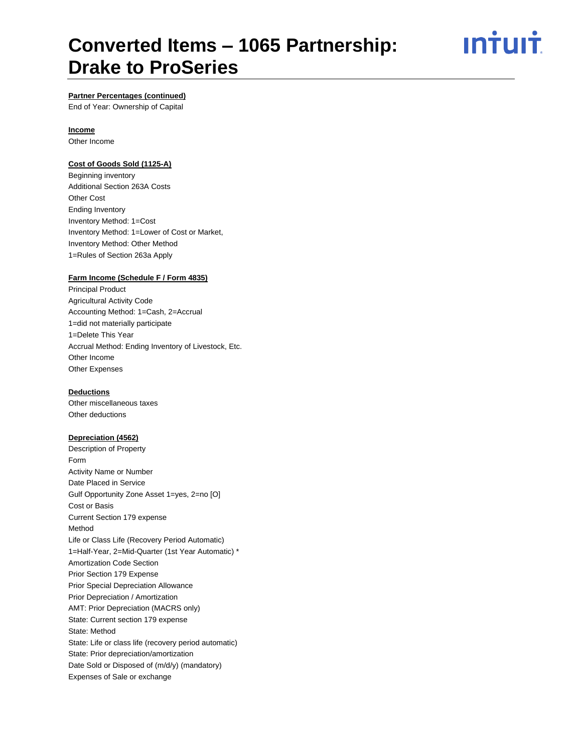<u>ıntuıt</u>

### **Partner Percentages (continued)**

End of Year: Ownership of Capital

#### **Income**

Other Income

#### **Cost of Goods Sold (1125-A)**

Beginning inventory Additional Section 263A Costs Other Cost Ending Inventory Inventory Method: 1=Cost Inventory Method: 1=Lower of Cost or Market, Inventory Method: Other Method 1=Rules of Section 263a Apply

### **Farm Income (Schedule F / Form 4835)**

Principal Product Agricultural Activity Code Accounting Method: 1=Cash, 2=Accrual 1=did not materially participate 1=Delete This Year Accrual Method: Ending Inventory of Livestock, Etc. Other Income Other Expenses

#### **Deductions**

Other miscellaneous taxes Other deductions

#### **Depreciation (4562)**

Description of Property Form Activity Name or Number Date Placed in Service Gulf Opportunity Zone Asset 1=yes, 2=no [O] Cost or Basis Current Section 179 expense Method Life or Class Life (Recovery Period Automatic) 1=Half-Year, 2=Mid-Quarter (1st Year Automatic) \* Amortization Code Section Prior Section 179 Expense Prior Special Depreciation Allowance Prior Depreciation / Amortization AMT: Prior Depreciation (MACRS only) State: Current section 179 expense State: Method State: Life or class life (recovery period automatic) State: Prior depreciation/amortization Date Sold or Disposed of (m/d/y) (mandatory) Expenses of Sale or exchange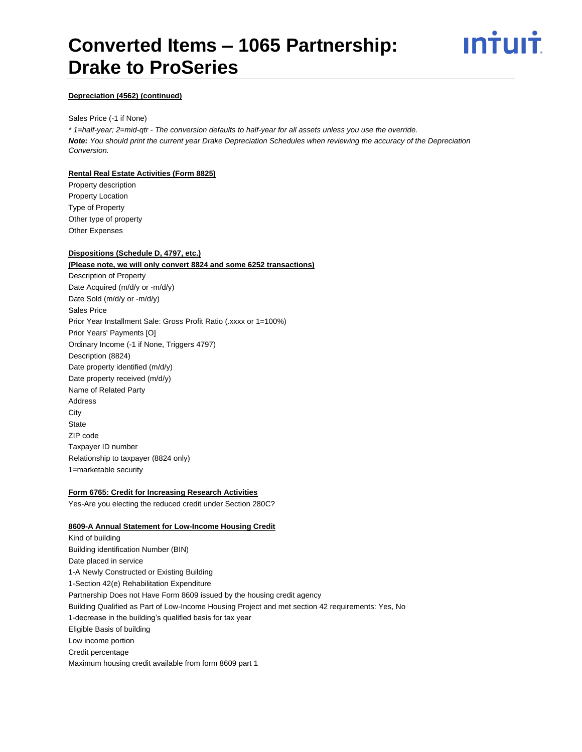# ın<del>i</del>uı<del>i</del>

#### **Depreciation (4562) (continued)**

#### Sales Price (-1 if None)

*\* 1=half-year; 2=mid-qtr - The conversion defaults to half-year for all assets unless you use the override. Note: You should print the current year Drake Depreciation Schedules when reviewing the accuracy of the Depreciation Conversion.*

### **Rental Real Estate Activities (Form 8825)**

Property description Property Location Type of Property Other type of property Other Expenses

## **Dispositions (Schedule D, 4797, etc.)**

## **(Please note, we will only convert 8824 and some 6252 transactions)** Description of Property Date Acquired (m/d/y or -m/d/y) Date Sold (m/d/y or -m/d/y) Sales Price Prior Year Installment Sale: Gross Profit Ratio (.xxxx or 1=100%) Prior Years' Payments [O] Ordinary Income (-1 if None, Triggers 4797) Description (8824) Date property identified (m/d/y) Date property received (m/d/y) Name of Related Party Address **City State** ZIP code Taxpayer ID number Relationship to taxpayer (8824 only) 1=marketable security

#### **Form 6765: Credit for Increasing Research Activities**

Yes-Are you electing the reduced credit under Section 280C?

#### **8609-A Annual Statement for Low-Income Housing Credit**

Kind of building Building identification Number (BIN) Date placed in service 1-A Newly Constructed or Existing Building 1-Section 42(e) Rehabilitation Expenditure Partnership Does not Have Form 8609 issued by the housing credit agency Building Qualified as Part of Low-Income Housing Project and met section 42 requirements: Yes, No 1-decrease in the building's qualified basis for tax year Eligible Basis of building Low income portion Credit percentage Maximum housing credit available from form 8609 part 1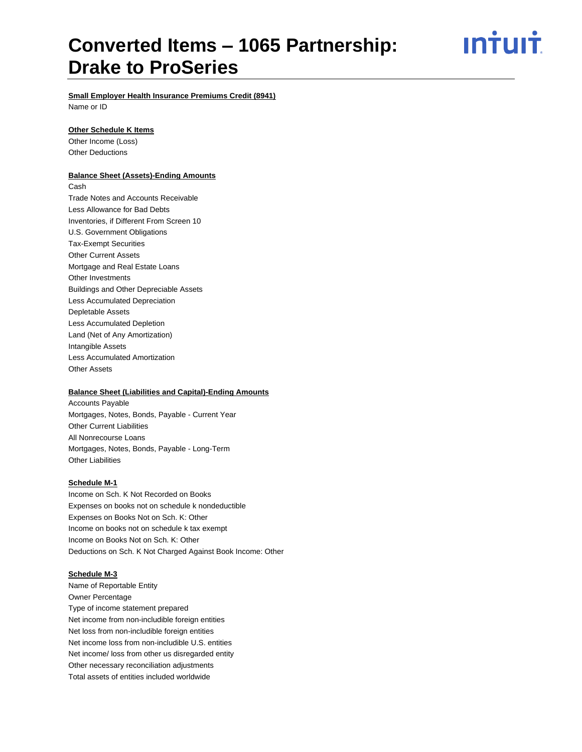ın<del>i</del>uı<del>i</del>

**Small Employer Health Insurance Premiums Credit (8941)**

Name or ID

#### **Other Schedule K Items**

Other Income (Loss) Other Deductions

#### **Balance Sheet (Assets)-Ending Amounts**

Cash Trade Notes and Accounts Receivable Less Allowance for Bad Debts Inventories, if Different From Screen 10 U.S. Government Obligations Tax-Exempt Securities Other Current Assets Mortgage and Real Estate Loans Other Investments Buildings and Other Depreciable Assets Less Accumulated Depreciation Depletable Assets Less Accumulated Depletion Land (Net of Any Amortization) Intangible Assets Less Accumulated Amortization Other Assets

#### **Balance Sheet (Liabilities and Capital)-Ending Amounts**

Accounts Payable Mortgages, Notes, Bonds, Payable - Current Year Other Current Liabilities All Nonrecourse Loans Mortgages, Notes, Bonds, Payable - Long-Term Other Liabilities

#### **Schedule M-1**

Income on Sch. K Not Recorded on Books Expenses on books not on schedule k nondeductible Expenses on Books Not on Sch. K: Other Income on books not on schedule k tax exempt Income on Books Not on Sch. K: Other Deductions on Sch. K Not Charged Against Book Income: Other

#### **Schedule M-3**

Name of Reportable Entity Owner Percentage Type of income statement prepared Net income from non-includible foreign entities Net loss from non-includible foreign entities Net income loss from non-includible U.S. entities Net income/ loss from other us disregarded entity Other necessary reconciliation adjustments Total assets of entities included worldwide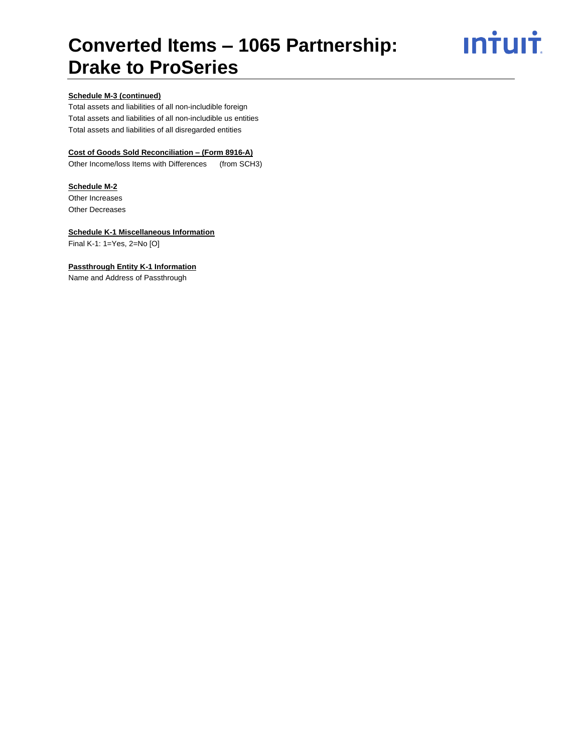# **Intuit**

### **Schedule M-3 (continued)**

Total assets and liabilities of all non-includible foreign Total assets and liabilities of all non-includible us entities Total assets and liabilities of all disregarded entities

## **Cost of Goods Sold Reconciliation – (Form 8916-A)**

Other Income/loss Items with Differences (from SCH3)

#### **Schedule M-2**

Other Increases Other Decreases

#### **Schedule K-1 Miscellaneous Information**

Final K-1: 1=Yes, 2=No [O]

### **Passthrough Entity K-1 Information**

Name and Address of Passthrough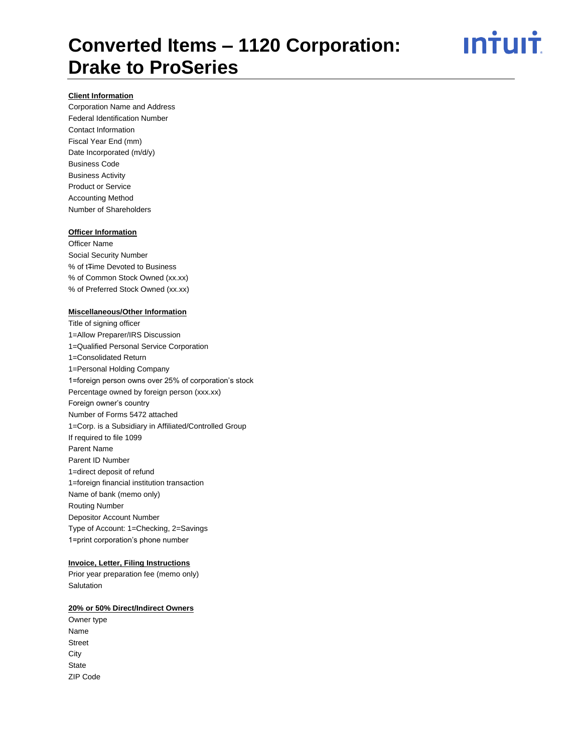

### **Client Information**

Corporation Name and Address Federal Identification Number Contact Information Fiscal Year End (mm) Date Incorporated (m/d/y) Business Code Business Activity Product or Service Accounting Method Number of Shareholders

#### **Officer Information**

Officer Name Social Security Number % of tTime Devoted to Business % of Common Stock Owned (xx.xx) % of Preferred Stock Owned (xx.xx)

#### **Miscellaneous/Other Information**

Title of signing officer 1=Allow Preparer/IRS Discussion 1=Qualified Personal Service Corporation 1=Consolidated Return 1=Personal Holding Company 1=foreign person owns over 25% of corporation's stock Percentage owned by foreign person (xxx.xx) Foreign owner's country Number of Forms 5472 attached 1=Corp. is a Subsidiary in Affiliated/Controlled Group If required to file 1099 Parent Name Parent ID Number 1=direct deposit of refund 1=foreign financial institution transaction Name of bank (memo only) Routing Number Depositor Account Number Type of Account: 1=Checking, 2=Savings 1=print corporation's phone number

### **Invoice, Letter, Filing Instructions**

Prior year preparation fee (memo only) **Salutation** 

#### **20% or 50% Direct/Indirect Owners**

Owner type Name Street **City State** ZIP Code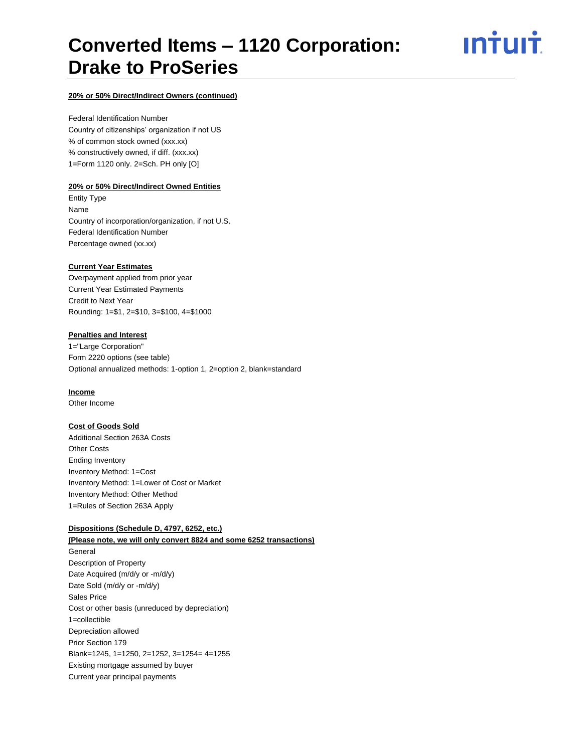ın†uı†

#### **20% or 50% Direct/Indirect Owners (continued)**

Federal Identification Number Country of citizenships' organization if not US % of common stock owned (xxx.xx) % constructively owned, if diff. (xxx.xx) 1=Form 1120 only. 2=Sch. PH only [O]

#### **20% or 50% Direct/Indirect Owned Entities**

Entity Type Name Country of incorporation/organization, if not U.S. Federal Identification Number Percentage owned (xx.xx)

#### **Current Year Estimates**

Overpayment applied from prior year Current Year Estimated Payments Credit to Next Year Rounding: 1=\$1, 2=\$10, 3=\$100, 4=\$1000

#### **Penalties and Interest**

1="Large Corporation" Form 2220 options (see table) Optional annualized methods: 1-option 1, 2=option 2, blank=standard

#### **Income**

Other Income

#### **Cost of Goods Sold**

Additional Section 263A Costs Other Costs Ending Inventory Inventory Method: 1=Cost Inventory Method: 1=Lower of Cost or Market Inventory Method: Other Method 1=Rules of Section 263A Apply

#### **Dispositions (Schedule D, 4797, 6252, etc.)**

**(Please note, we will only convert 8824 and some 6252 transactions)** General Description of Property Date Acquired (m/d/y or -m/d/y) Date Sold (m/d/y or -m/d/y) Sales Price Cost or other basis (unreduced by depreciation) 1=collectible Depreciation allowed Prior Section 179 Blank=1245, 1=1250, 2=1252, 3=1254= 4=1255 Existing mortgage assumed by buyer Current year principal payments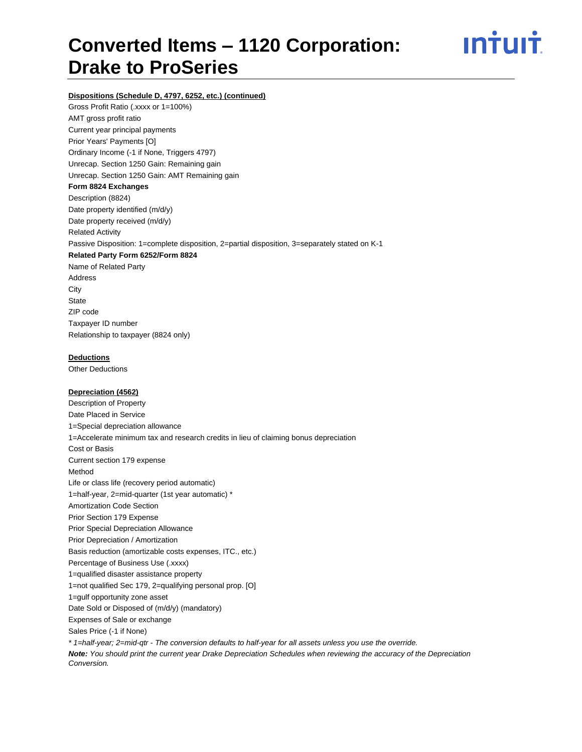

#### **Dispositions (Schedule D, 4797, 6252, etc.) (continued)**

Gross Profit Ratio (.xxxx or 1=100%) AMT gross profit ratio Current year principal payments Prior Years' Payments [O] Ordinary Income (-1 if None, Triggers 4797) Unrecap. Section 1250 Gain: Remaining gain Unrecap. Section 1250 Gain: AMT Remaining gain **Form 8824 Exchanges** Description (8824) Date property identified (m/d/y) Date property received (m/d/y) Related Activity Passive Disposition: 1=complete disposition, 2=partial disposition, 3=separately stated on K-1 **Related Party Form 6252/Form 8824** Name of Related Party Address **City State** ZIP code Taxpayer ID number Relationship to taxpayer (8824 only)

#### **Deductions**

Other Deductions

### **Depreciation (4562)**

Description of Property Date Placed in Service 1=Special depreciation allowance 1=Accelerate minimum tax and research credits in lieu of claiming bonus depreciation Cost or Basis Current section 179 expense Method Life or class life (recovery period automatic) 1=half-year, 2=mid-quarter (1st year automatic) \* Amortization Code Section Prior Section 179 Expense Prior Special Depreciation Allowance Prior Depreciation / Amortization Basis reduction (amortizable costs expenses, ITC., etc.) Percentage of Business Use (.xxxx) 1=qualified disaster assistance property 1=not qualified Sec 179, 2=qualifying personal prop. [O] 1=gulf opportunity zone asset Date Sold or Disposed of (m/d/y) (mandatory) Expenses of Sale or exchange Sales Price (-1 if None) *\* 1=half-year; 2=mid-qtr - The conversion defaults to half-year for all assets unless you use the override. Note: You should print the current year Drake Depreciation Schedules when reviewing the accuracy of the Depreciation* 

*Conversion.*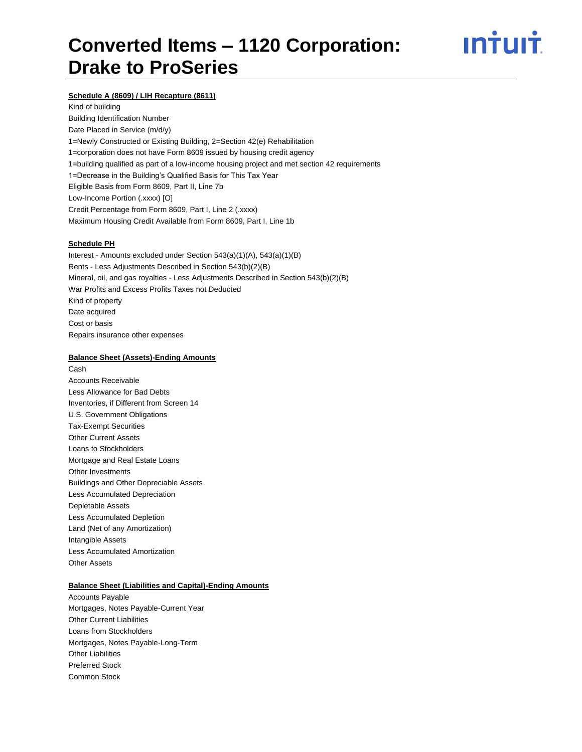# <u>ıntuıt</u>

### **Schedule A (8609) / LIH Recapture (8611)**

Kind of building Building Identification Number Date Placed in Service (m/d/y) 1=Newly Constructed or Existing Building, 2=Section 42(e) Rehabilitation 1=corporation does not have Form 8609 issued by housing credit agency 1=building qualified as part of a low-income housing project and met section 42 requirements 1=Decrease in the Building's Qualified Basis for This Tax Year Eligible Basis from Form 8609, Part II, Line 7b Low-Income Portion (.xxxx) [O] Credit Percentage from Form 8609, Part I, Line 2 (.xxxx) Maximum Housing Credit Available from Form 8609, Part I, Line 1b

#### **Schedule PH**

Interest - Amounts excluded under Section 543(a)(1)(A), 543(a)(1)(B) Rents - Less Adjustments Described in Section 543(b)(2)(B) Mineral, oil, and gas royalties - Less Adjustments Described in Section 543(b)(2)(B) War Profits and Excess Profits Taxes not Deducted Kind of property Date acquired Cost or basis Repairs insurance other expenses

#### **Balance Sheet (Assets)-Ending Amounts**

Cash Accounts Receivable Less Allowance for Bad Debts Inventories, if Different from Screen 14 U.S. Government Obligations Tax-Exempt Securities Other Current Assets Loans to Stockholders Mortgage and Real Estate Loans Other Investments Buildings and Other Depreciable Assets Less Accumulated Depreciation Depletable Assets Less Accumulated Depletion Land (Net of any Amortization) Intangible Assets Less Accumulated Amortization Other Assets

#### **Balance Sheet (Liabilities and Capital)-Ending Amounts**

Accounts Payable Mortgages, Notes Payable-Current Year Other Current Liabilities Loans from Stockholders Mortgages, Notes Payable-Long-Term Other Liabilities Preferred Stock Common Stock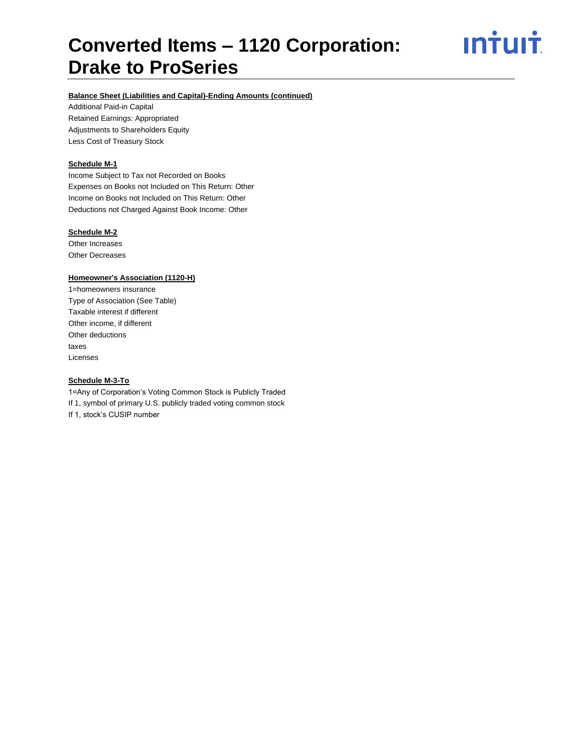<u>**Intuit**</u>

### **Balance Sheet (Liabilities and Capital)-Ending Amounts (continued)**

Additional Paid-in Capital Retained Earnings: Appropriated Adjustments to Shareholders Equity Less Cost of Treasury Stock

#### **Schedule M-1**

Income Subject to Tax not Recorded on Books Expenses on Books not Included on This Return: Other Income on Books not Included on This Return: Other Deductions not Charged Against Book Income: Other

#### **Schedule M-2**

Other Increases Other Decreases

#### **Homeowner's Association (1120-H)**

1=homeowners insurance Type of Association (See Table) Taxable interest if different Other income, if different Other deductions taxes Licenses

#### **Schedule M-3-To**

1=Any of Corporation's Voting Common Stock is Publicly Traded If 1, symbol of primary U.S. publicly traded voting common stock If 1, stock's CUSIP number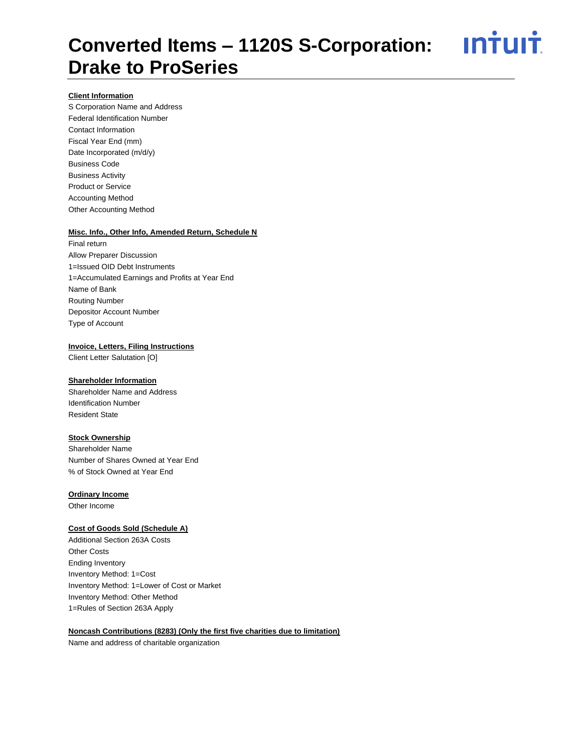<u>**Intuit**</u>

### **Client Information**

S Corporation Name and Address Federal Identification Number Contact Information Fiscal Year End (mm) Date Incorporated (m/d/y) Business Code Business Activity Product or Service Accounting Method Other Accounting Method

#### **Misc. Info., Other Info, Amended Return, Schedule N**

Final return Allow Preparer Discussion 1=Issued OID Debt Instruments 1=Accumulated Earnings and Profits at Year End Name of Bank Routing Number Depositor Account Number Type of Account

#### **Invoice, Letters, Filing Instructions**

Client Letter Salutation [O]

#### **Shareholder Information**

Shareholder Name and Address Identification Number Resident State

### **Stock Ownership**

Shareholder Name Number of Shares Owned at Year End % of Stock Owned at Year End

#### **Ordinary Income**

Other Income

#### **Cost of Goods Sold (Schedule A)**

Additional Section 263A Costs Other Costs Ending Inventory Inventory Method: 1=Cost Inventory Method: 1=Lower of Cost or Market Inventory Method: Other Method 1=Rules of Section 263A Apply

#### **Noncash Contributions (8283) (Only the first five charities due to limitation)**

Name and address of charitable organization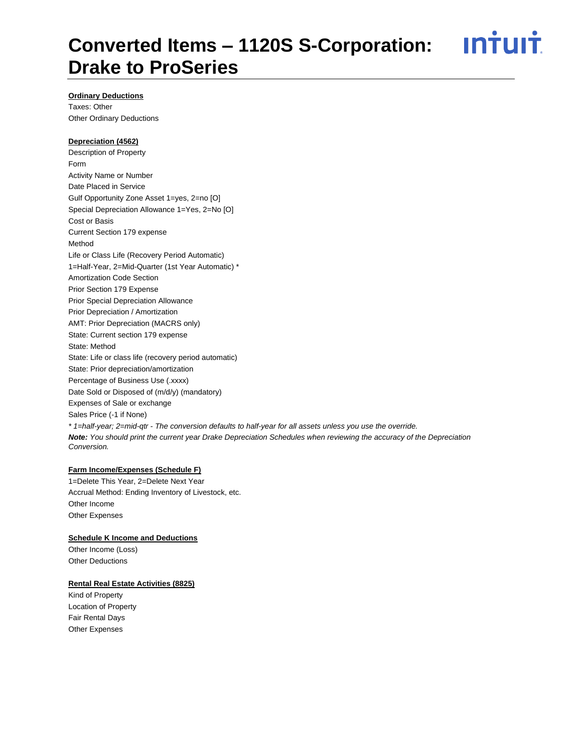<u>**Intuit**</u>

### **Ordinary Deductions**

Taxes: Other Other Ordinary Deductions

#### **Depreciation (4562)**

Description of Property Form Activity Name or Number Date Placed in Service Gulf Opportunity Zone Asset 1=yes, 2=no [O] Special Depreciation Allowance 1=Yes, 2=No [O] Cost or Basis Current Section 179 expense Method Life or Class Life (Recovery Period Automatic) 1=Half-Year, 2=Mid-Quarter (1st Year Automatic) \* Amortization Code Section Prior Section 179 Expense Prior Special Depreciation Allowance Prior Depreciation / Amortization AMT: Prior Depreciation (MACRS only) State: Current section 179 expense State: Method State: Life or class life (recovery period automatic) State: Prior depreciation/amortization Percentage of Business Use (.xxxx) Date Sold or Disposed of (m/d/y) (mandatory) Expenses of Sale or exchange Sales Price (-1 if None) *\* 1=half-year; 2=mid-qtr - The conversion defaults to half-year for all assets unless you use the override. Note: You should print the current year Drake Depreciation Schedules when reviewing the accuracy of the Depreciation Conversion.*

## **Farm Income/Expenses (Schedule F)**

1=Delete This Year, 2=Delete Next Year Accrual Method: Ending Inventory of Livestock, etc. Other Income Other Expenses

#### **Schedule K Income and Deductions**

Other Income (Loss) Other Deductions

#### **Rental Real Estate Activities (8825)**

Kind of Property Location of Property Fair Rental Days Other Expenses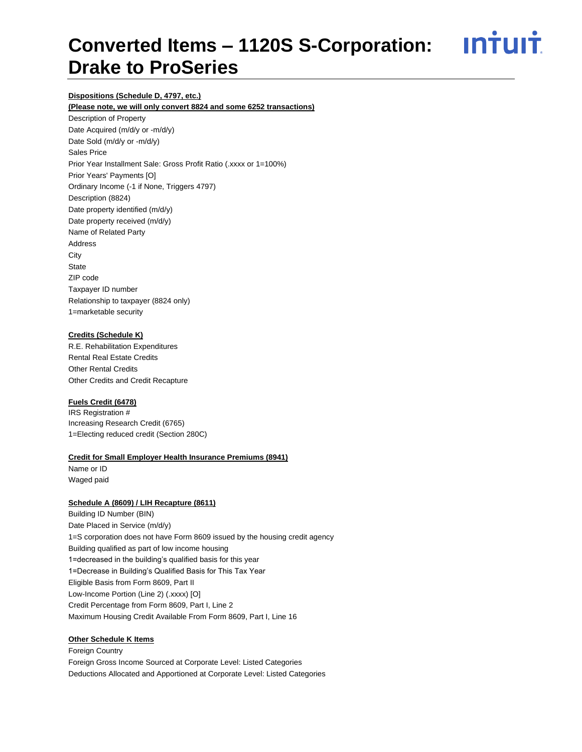<u>**Intuit**</u>

### **Dispositions (Schedule D, 4797, etc.)**

**(Please note, we will only convert 8824 and some 6252 transactions)**

Description of Property Date Acquired (m/d/y or -m/d/y) Date Sold (m/d/y or -m/d/y) Sales Price Prior Year Installment Sale: Gross Profit Ratio (.xxxx or 1=100%) Prior Years' Payments [O] Ordinary Income (-1 if None, Triggers 4797) Description (8824) Date property identified (m/d/y) Date property received (m/d/y) Name of Related Party Address **City State** ZIP code Taxpayer ID number Relationship to taxpayer (8824 only) 1=marketable security

#### **Credits (Schedule K)**

R.E. Rehabilitation Expenditures Rental Real Estate Credits Other Rental Credits Other Credits and Credit Recapture

#### **Fuels Credit (6478)**

IRS Registration # Increasing Research Credit (6765) 1=Electing reduced credit (Section 280C)

#### **Credit for Small Employer Health Insurance Premiums (8941)**

Name or ID Waged paid

#### **Schedule A (8609) / LIH Recapture (8611)**

Building ID Number (BIN) Date Placed in Service (m/d/y) 1=S corporation does not have Form 8609 issued by the housing credit agency Building qualified as part of low income housing 1=decreased in the building's qualified basis for this year 1=Decrease in Building's Qualified Basis for This Tax Year Eligible Basis from Form 8609, Part II Low-Income Portion (Line 2) (.xxxx) [O] Credit Percentage from Form 8609, Part I, Line 2 Maximum Housing Credit Available From Form 8609, Part I, Line 16

#### **Other Schedule K Items**

Foreign Country Foreign Gross Income Sourced at Corporate Level: Listed Categories Deductions Allocated and Apportioned at Corporate Level: Listed Categories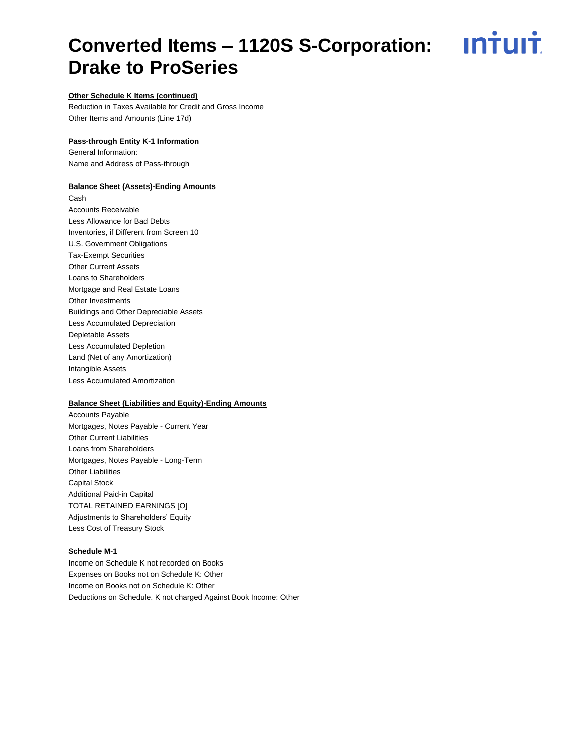<u>**Intuit**</u>

### **Other Schedule K Items (continued)**

Reduction in Taxes Available for Credit and Gross Income Other Items and Amounts (Line 17d)

#### **Pass-through Entity K-1 Information**

General Information: Name and Address of Pass-through

#### **Balance Sheet (Assets)-Ending Amounts**

Cash Accounts Receivable Less Allowance for Bad Debts Inventories, if Different from Screen 10 U.S. Government Obligations Tax-Exempt Securities Other Current Assets Loans to Shareholders Mortgage and Real Estate Loans Other Investments Buildings and Other Depreciable Assets Less Accumulated Depreciation Depletable Assets Less Accumulated Depletion Land (Net of any Amortization) Intangible Assets Less Accumulated Amortization

#### **Balance Sheet (Liabilities and Equity)-Ending Amounts**

Accounts Payable Mortgages, Notes Payable - Current Year Other Current Liabilities Loans from Shareholders Mortgages, Notes Payable - Long-Term Other Liabilities Capital Stock Additional Paid-in Capital TOTAL RETAINED EARNINGS [O] Adjustments to Shareholders' Equity Less Cost of Treasury Stock

### **Schedule M-1**

Income on Schedule K not recorded on Books Expenses on Books not on Schedule K: Other Income on Books not on Schedule K: Other Deductions on Schedule. K not charged Against Book Income: Other